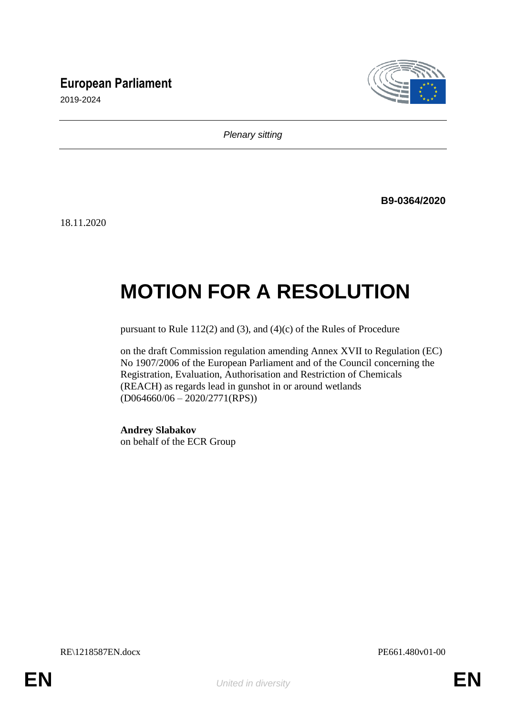## **European Parliament**



2019-2024

*Plenary sitting*

**B9-0364/2020**

18.11.2020

# **MOTION FOR A RESOLUTION**

pursuant to Rule 112(2) and (3), and (4)(c) of the Rules of Procedure

on the draft Commission regulation amending Annex XVII to Regulation (EC) No 1907/2006 of the European Parliament and of the Council concerning the Registration, Evaluation, Authorisation and Restriction of Chemicals (REACH) as regards lead in gunshot in or around wetlands (D064660/06 – 2020/2771(RPS))

**Andrey Slabakov** on behalf of the ECR Group

RE\1218587EN.docx PE661.480v01-00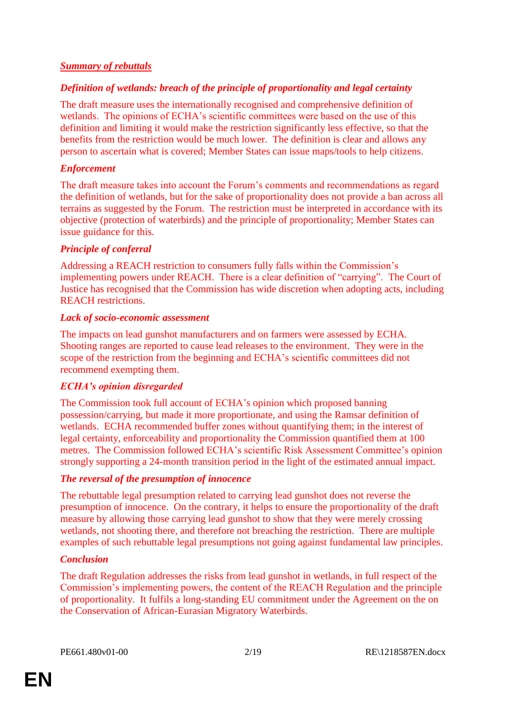## *Summary of rebuttals*

## *Definition of wetlands: breach of the principle of proportionality and legal certainty*

The draft measure uses the internationally recognised and comprehensive definition of wetlands. The opinions of ECHA's scientific committees were based on the use of this definition and limiting it would make the restriction significantly less effective, so that the benefits from the restriction would be much lower. The definition is clear and allows any person to ascertain what is covered; Member States can issue maps/tools to help citizens.

## *Enforcement*

The draft measure takes into account the Forum's comments and recommendations as regard the definition of wetlands, but for the sake of proportionality does not provide a ban across all terrains as suggested by the Forum. The restriction must be interpreted in accordance with its objective (protection of waterbirds) and the principle of proportionality; Member States can issue guidance for this.

## *Principle of conferral*

Addressing a REACH restriction to consumers fully falls within the Commission's implementing powers under REACH. There is a clear definition of "carrying". The Court of Justice has recognised that the Commission has wide discretion when adopting acts, including REACH restrictions.

## *Lack of socio-economic assessment*

The impacts on lead gunshot manufacturers and on farmers were assessed by ECHA. Shooting ranges are reported to cause lead releases to the environment. They were in the scope of the restriction from the beginning and ECHA's scientific committees did not recommend exempting them.

## *ECHA's opinion disregarded*

The Commission took full account of ECHA's opinion which proposed banning possession/carrying, but made it more proportionate, and using the Ramsar definition of wetlands. ECHA recommended buffer zones without quantifying them; in the interest of legal certainty, enforceability and proportionality the Commission quantified them at 100 metres. The Commission followed ECHA's scientific Risk Assessment Committee's opinion strongly supporting a 24-month transition period in the light of the estimated annual impact.

## *The reversal of the presumption of innocence*

The rebuttable legal presumption related to carrying lead gunshot does not reverse the presumption of innocence. On the contrary, it helps to ensure the proportionality of the draft measure by allowing those carrying lead gunshot to show that they were merely crossing wetlands, not shooting there, and therefore not breaching the restriction. There are multiple examples of such rebuttable legal presumptions not going against fundamental law principles.

## *Conclusion*

The draft Regulation addresses the risks from lead gunshot in wetlands, in full respect of the Commission's implementing powers, the content of the REACH Regulation and the principle of proportionality. It fulfils a long-standing EU commitment under the Agreement on the on the Conservation of African-Eurasian Migratory Waterbirds.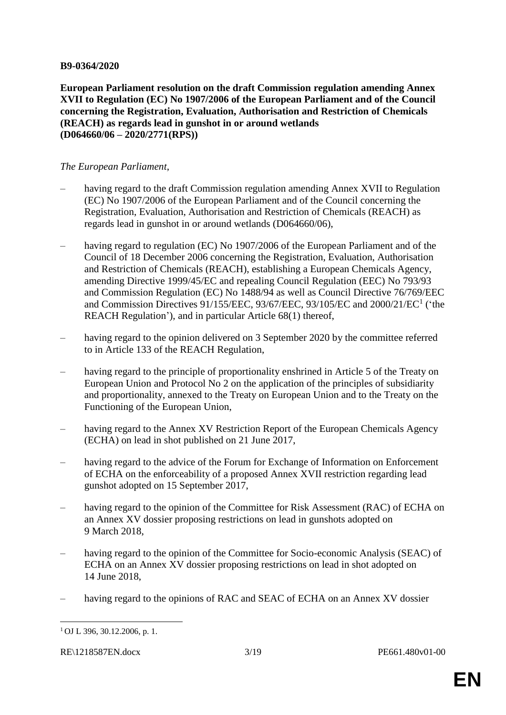#### **B9-0364/2020**

**European Parliament resolution on the draft Commission regulation amending Annex XVII to Regulation (EC) No 1907/2006 of the European Parliament and of the Council concerning the Registration, Evaluation, Authorisation and Restriction of Chemicals (REACH) as regards lead in gunshot in or around wetlands (D064660/06 – 2020/2771(RPS))**

#### *The European Parliament*,

- having regard to the draft Commission regulation amending Annex XVII to Regulation (EC) No 1907/2006 of the European Parliament and of the Council concerning the Registration, Evaluation, Authorisation and Restriction of Chemicals (REACH) as regards lead in gunshot in or around wetlands (D064660/06),
- having regard to regulation (EC) No 1907/2006 of the European Parliament and of the Council of 18 December 2006 concerning the Registration, Evaluation, Authorisation and Restriction of Chemicals (REACH), establishing a European Chemicals Agency, amending Directive 1999/45/EC and repealing Council Regulation (EEC) No 793/93 and Commission Regulation (EC) No 1488/94 as well as Council Directive 76/769/EEC and Commission Directives 91/155/EEC, 93/67/EEC, 93/105/EC and 2000/21/EC<sup>1</sup> ('the REACH Regulation'), and in particular Article 68(1) thereof,
- having regard to the opinion delivered on 3 September 2020 by the committee referred to in Article 133 of the REACH Regulation,
- having regard to the principle of proportionality enshrined in Article 5 of the Treaty on European Union and Protocol No 2 on the application of the principles of subsidiarity and proportionality, annexed to the Treaty on European Union and to the Treaty on the Functioning of the European Union,
- having regard to the Annex XV Restriction Report of the European Chemicals Agency (ECHA) on lead in shot published on 21 June 2017,
- having regard to the advice of the Forum for Exchange of Information on Enforcement of ECHA on the enforceability of a proposed Annex XVII restriction regarding lead gunshot adopted on 15 September 2017,
- having regard to the opinion of the Committee for Risk Assessment (RAC) of ECHA on an Annex XV dossier proposing restrictions on lead in gunshots adopted on 9 March 2018,
- having regard to the opinion of the Committee for Socio-economic Analysis (SEAC) of ECHA on an Annex XV dossier proposing restrictions on lead in shot adopted on 14 June 2018,
- having regard to the opinions of RAC and SEAC of ECHA on an Annex XV dossier

RE\1218587EN.docx 3/19 PE661.480v01-00

 $\overline{a}$ 

 $1$  OJ L 396, 30.12.2006, p. 1.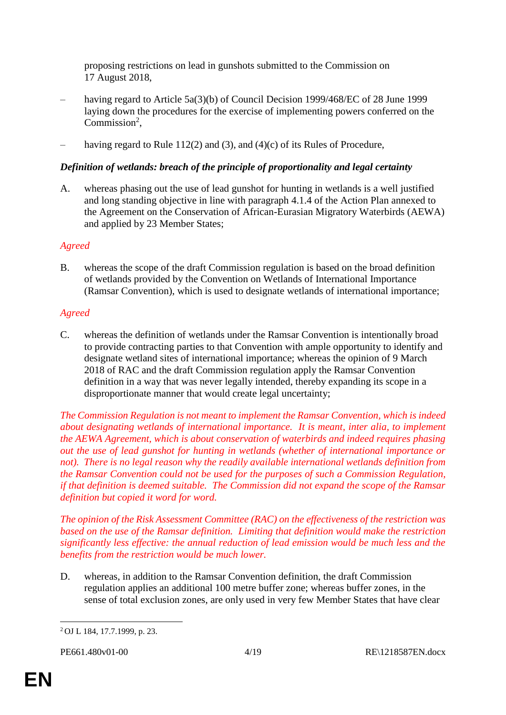proposing restrictions on lead in gunshots submitted to the Commission on 17 August 2018,

- having regard to Article 5a(3)(b) of Council Decision 1999/468/EC of 28 June 1999 laying down the procedures for the exercise of implementing powers conferred on the Commission<sup>2</sup>,
- having regard to Rule 112(2) and (3), and (4)(c) of its Rules of Procedure,

## *Definition of wetlands: breach of the principle of proportionality and legal certainty*

A. whereas phasing out the use of lead gunshot for hunting in wetlands is a well justified and long standing objective in line with paragraph 4.1.4 of the Action Plan annexed to the Agreement on the Conservation of African-Eurasian Migratory Waterbirds (AEWA) and applied by 23 Member States;

## *Agreed*

B. whereas the scope of the draft Commission regulation is based on the broad definition of wetlands provided by the Convention on Wetlands of International Importance (Ramsar Convention), which is used to designate wetlands of international importance;

## *Agreed*

C. whereas the definition of wetlands under the Ramsar Convention is intentionally broad to provide contracting parties to that Convention with ample opportunity to identify and designate wetland sites of international importance; whereas the opinion of 9 March 2018 of RAC and the draft Commission regulation apply the Ramsar Convention definition in a way that was never legally intended, thereby expanding its scope in a disproportionate manner that would create legal uncertainty;

*The Commission Regulation is not meant to implement the Ramsar Convention, which is indeed about designating wetlands of international importance. It is meant, inter alia, to implement the AEWA Agreement, which is about conservation of waterbirds and indeed requires phasing out the use of lead gunshot for hunting in wetlands (whether of international importance or not). There is no legal reason why the readily available international wetlands definition from the Ramsar Convention could not be used for the purposes of such a Commission Regulation, if that definition is deemed suitable. The Commission did not expand the scope of the Ramsar definition but copied it word for word.*

*The opinion of the Risk Assessment Committee (RAC) on the effectiveness of the restriction was based on the use of the Ramsar definition. Limiting that definition would make the restriction significantly less effective: the annual reduction of lead emission would be much less and the benefits from the restriction would be much lower.*

D. whereas, in addition to the Ramsar Convention definition, the draft Commission regulation applies an additional 100 metre buffer zone; whereas buffer zones, in the sense of total exclusion zones, are only used in very few Member States that have clear

 $\overline{a}$ <sup>2</sup> OJ L 184, 17.7.1999, p. 23.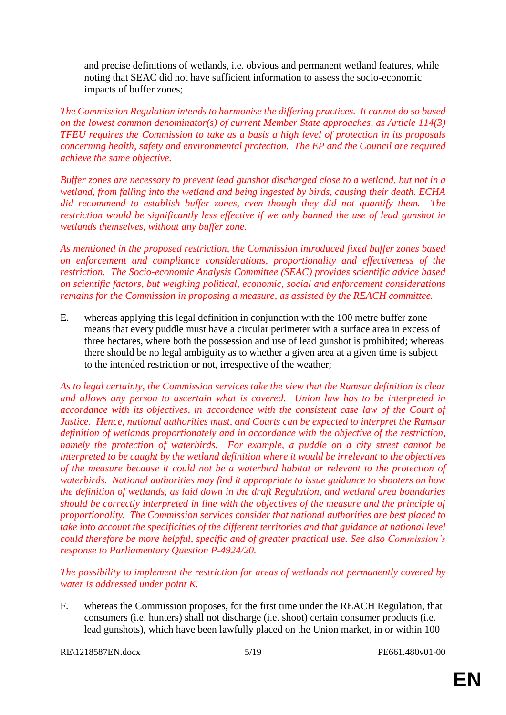and precise definitions of wetlands, i.e. obvious and permanent wetland features, while noting that SEAC did not have sufficient information to assess the socio-economic impacts of buffer zones;

*The Commission Regulation intends to harmonise the differing practices. It cannot do so based on the lowest common denominator(s) of current Member State approaches, as Article 114(3) TFEU requires the Commission to take as a basis a high level of protection in its proposals concerning health, safety and environmental protection. The EP and the Council are required achieve the same objective.*

*Buffer zones are necessary to prevent lead gunshot discharged close to a wetland, but not in a wetland, from falling into the wetland and being ingested by birds, causing their death. ECHA did recommend to establish buffer zones, even though they did not quantify them. The restriction would be significantly less effective if we only banned the use of lead gunshot in wetlands themselves, without any buffer zone.*

*As mentioned in the proposed restriction, the Commission introduced fixed buffer zones based on enforcement and compliance considerations, proportionality and effectiveness of the restriction. The Socio-economic Analysis Committee (SEAC) provides scientific advice based on scientific factors, but weighing political, economic, social and enforcement considerations remains for the Commission in proposing a measure, as assisted by the REACH committee.*

E. whereas applying this legal definition in conjunction with the 100 metre buffer zone means that every puddle must have a circular perimeter with a surface area in excess of three hectares, where both the possession and use of lead gunshot is prohibited; whereas there should be no legal ambiguity as to whether a given area at a given time is subject to the intended restriction or not, irrespective of the weather;

*As to legal certainty, the Commission services take the view that the Ramsar definition is clear and allows any person to ascertain what is covered. Union law has to be interpreted in accordance with its objectives, in accordance with the consistent case law of the Court of Justice. Hence, national authorities must, and Courts can be expected to interpret the Ramsar definition of wetlands proportionately and in accordance with the objective of the restriction, namely the protection of waterbirds. For example, a puddle on a city street cannot be interpreted to be caught by the wetland definition where it would be irrelevant to the objectives of the measure because it could not be a waterbird habitat or relevant to the protection of waterbirds. National authorities may find it appropriate to issue guidance to shooters on how the definition of wetlands, as laid down in the draft Regulation, and wetland area boundaries should be correctly interpreted in line with the objectives of the measure and the principle of proportionality. The Commission services consider that national authorities are best placed to take into account the specificities of the different territories and that guidance at national level could therefore be more helpful, specific and of greater practical use. See also Commission's response to Parliamentary Question P-4924/20.*

*The possibility to implement the restriction for areas of wetlands not permanently covered by water is addressed under point K.*

F. whereas the Commission proposes, for the first time under the REACH Regulation, that consumers (i.e. hunters) shall not discharge (i.e. shoot) certain consumer products (i.e. lead gunshots), which have been lawfully placed on the Union market, in or within 100

RE\1218587EN.docx 5/19 PE661.480v01-00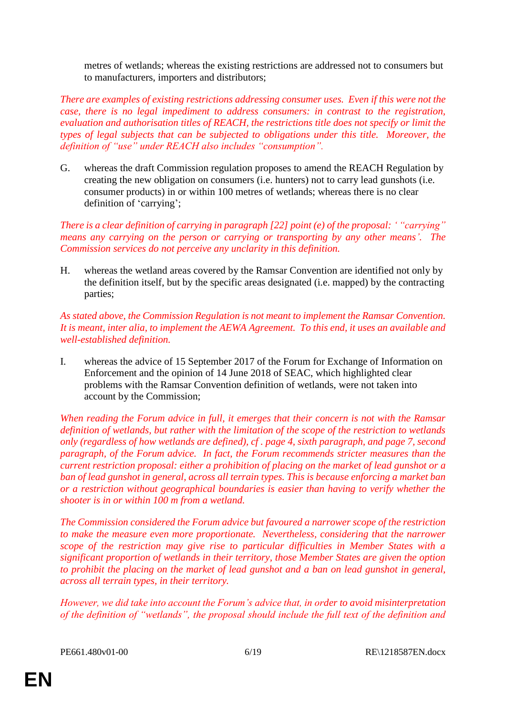metres of wetlands; whereas the existing restrictions are addressed not to consumers but to manufacturers, importers and distributors;

*There are examples of existing restrictions addressing consumer uses. Even if this were not the case, there is no legal impediment to address consumers: in contrast to the registration, evaluation and authorisation titles of REACH, the restrictions title does not specify or limit the types of legal subjects that can be subjected to obligations under this title. Moreover, the definition of "use" under REACH also includes "consumption".*

G. whereas the draft Commission regulation proposes to amend the REACH Regulation by creating the new obligation on consumers (i.e. hunters) not to carry lead gunshots (i.e. consumer products) in or within 100 metres of wetlands; whereas there is no clear definition of 'carrying';

*There is a clear definition of carrying in paragraph [22] point (e) of the proposal: ' "carrying" means any carrying on the person or carrying or transporting by any other means'. The Commission services do not perceive any unclarity in this definition.*

H. whereas the wetland areas covered by the Ramsar Convention are identified not only by the definition itself, but by the specific areas designated (i.e. mapped) by the contracting parties;

*As stated above, the Commission Regulation is not meant to implement the Ramsar Convention. It is meant, inter alia, to implement the AEWA Agreement. To this end, it uses an available and well-established definition.*

I. whereas the advice of 15 September 2017 of the Forum for Exchange of Information on Enforcement and the opinion of 14 June 2018 of SEAC, which highlighted clear problems with the Ramsar Convention definition of wetlands, were not taken into account by the Commission;

*When reading the Forum advice in full, it emerges that their concern is not with the Ramsar definition of wetlands, but rather with the limitation of the scope of the restriction to wetlands only (regardless of how wetlands are defined), cf . page 4, sixth paragraph, and page 7, second paragraph, of the Forum advice. In fact, the Forum recommends stricter measures than the current restriction proposal: either a prohibition of placing on the market of lead gunshot or a ban of lead gunshot in general, across all terrain types. This is because enforcing a market ban or a restriction without geographical boundaries is easier than having to verify whether the shooter is in or within 100 m from a wetland.*

*The Commission considered the Forum advice but favoured a narrower scope of the restriction to make the measure even more proportionate. Nevertheless, considering that the narrower scope of the restriction may give rise to particular difficulties in Member States with a significant proportion of wetlands in their territory, those Member States are given the option to prohibit the placing on the market of lead gunshot and a ban on lead gunshot in general, across all terrain types, in their territory.*

*However, we did take into account the Forum's advice that, in order to avoid misinterpretation of the definition of "wetlands", the proposal should include the full text of the definition and*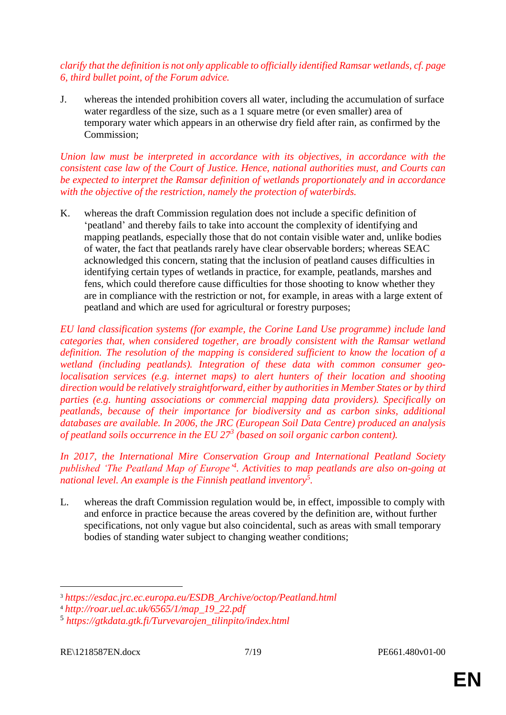## *clarify that the definition is not only applicable to officially identified Ramsar wetlands, cf. page 6, third bullet point, of the Forum advice.*

J. whereas the intended prohibition covers all water, including the accumulation of surface water regardless of the size, such as a 1 square metre (or even smaller) area of temporary water which appears in an otherwise dry field after rain, as confirmed by the Commission;

*Union law must be interpreted in accordance with its objectives, in accordance with the consistent case law of the Court of Justice. Hence, national authorities must, and Courts can be expected to interpret the Ramsar definition of wetlands proportionately and in accordance with the objective of the restriction, namely the protection of waterbirds.*

K. whereas the draft Commission regulation does not include a specific definition of 'peatland' and thereby fails to take into account the complexity of identifying and mapping peatlands, especially those that do not contain visible water and, unlike bodies of water, the fact that peatlands rarely have clear observable borders; whereas SEAC acknowledged this concern, stating that the inclusion of peatland causes difficulties in identifying certain types of wetlands in practice, for example, peatlands, marshes and fens, which could therefore cause difficulties for those shooting to know whether they are in compliance with the restriction or not, for example, in areas with a large extent of peatland and which are used for agricultural or forestry purposes;

*EU land classification systems (for example, the Corine Land Use programme) include land categories that, when considered together, are broadly consistent with the Ramsar wetland definition. The resolution of the mapping is considered sufficient to know the location of a wetland (including peatlands). Integration of these data with common consumer geolocalisation services (e.g. internet maps) to alert hunters of their location and shooting direction would be relatively straightforward, either by authorities in Member States or by third parties (e.g. hunting associations or commercial mapping data providers). Specifically on peatlands, because of their importance for biodiversity and as carbon sinks, additional databases are available. In 2006, the JRC (European Soil Data Centre) produced an analysis of peatland soils occurrence in the EU 27<sup>3</sup> (based on soil organic carbon content).*

*In 2017, the International Mire Conservation Group and International Peatland Society published 'The Peatland Map of Europe'<sup>4</sup> . Activities to map peatlands are also on-going at national level. An example is the Finnish peatland inventory<sup>5</sup> .* 

L. whereas the draft Commission regulation would be, in effect, impossible to comply with and enforce in practice because the areas covered by the definition are, without further specifications, not only vague but also coincidental, such as areas with small temporary bodies of standing water subject to changing weather conditions;

 $\overline{a}$ 

<sup>3</sup> *[https://esdac.jrc.ec.europa.eu/ESDB\\_Archive/octop/Peatland.html](https://esdac.jrc.ec.europa.eu/ESDB_Archive/octop/Peatland.html)*

<sup>4</sup> *[http://roar.uel.ac.uk/6565/1/map\\_19\\_22.pdf](http://roar.uel.ac.uk/6565/1/map_19_22.pdf)*

<sup>5</sup> *[https://gtkdata.gtk.fi/Turvevarojen\\_tilinpito/index.html](https://gtkdata.gtk.fi/Turvevarojen_tilinpito/index.html)*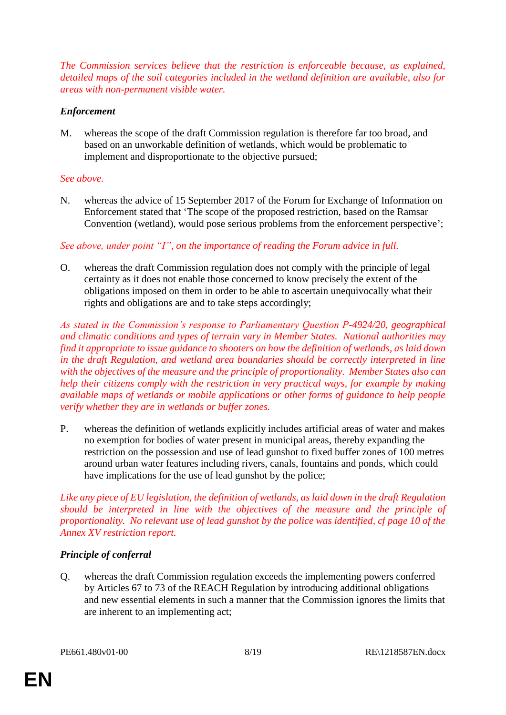*The Commission services believe that the restriction is enforceable because, as explained, detailed maps of the soil categories included in the wetland definition are available, also for areas with non-permanent visible water.*

## *Enforcement*

M. whereas the scope of the draft Commission regulation is therefore far too broad, and based on an unworkable definition of wetlands, which would be problematic to implement and disproportionate to the objective pursued;

## *See above.*

N. whereas the advice of 15 September 2017 of the Forum for Exchange of Information on Enforcement stated that 'The scope of the proposed restriction, based on the Ramsar Convention (wetland), would pose serious problems from the enforcement perspective';

*See above, under point "I", on the importance of reading the Forum advice in full.*

O. whereas the draft Commission regulation does not comply with the principle of legal certainty as it does not enable those concerned to know precisely the extent of the obligations imposed on them in order to be able to ascertain unequivocally what their rights and obligations are and to take steps accordingly;

*As stated in the Commission's response to Parliamentary Question P-4924/20, geographical and climatic conditions and types of terrain vary in Member States. National authorities may find it appropriate to issue guidance to shooters on how the definition of wetlands, as laid down in the draft Regulation, and wetland area boundaries should be correctly interpreted in line with the objectives of the measure and the principle of proportionality. Member States also can help their citizens comply with the restriction in very practical ways, for example by making available maps of wetlands or mobile applications or other forms of guidance to help people verify whether they are in wetlands or buffer zones.*

P. whereas the definition of wetlands explicitly includes artificial areas of water and makes no exemption for bodies of water present in municipal areas, thereby expanding the restriction on the possession and use of lead gunshot to fixed buffer zones of 100 metres around urban water features including rivers, canals, fountains and ponds, which could have implications for the use of lead gunshot by the police;

*Like any piece of EU legislation, the definition of wetlands, as laid down in the draft Regulation should be interpreted in line with the objectives of the measure and the principle of proportionality. No relevant use of lead gunshot by the police was identified, cf page 10 of the Annex XV restriction report.*

## *Principle of conferral*

Q. whereas the draft Commission regulation exceeds the implementing powers conferred by Articles 67 to 73 of the REACH Regulation by introducing additional obligations and new essential elements in such a manner that the Commission ignores the limits that are inherent to an implementing act;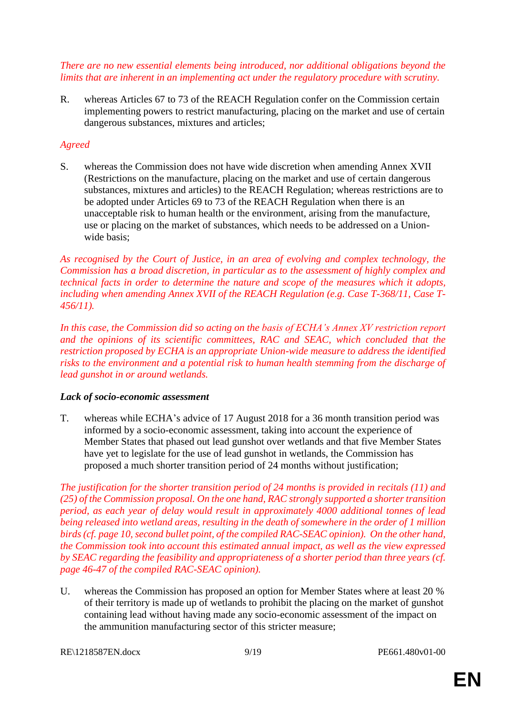*There are no new essential elements being introduced, nor additional obligations beyond the limits that are inherent in an implementing act under the regulatory procedure with scrutiny.*

R. whereas Articles 67 to 73 of the REACH Regulation confer on the Commission certain implementing powers to restrict manufacturing, placing on the market and use of certain dangerous substances, mixtures and articles;

## *Agreed*

S. whereas the Commission does not have wide discretion when amending Annex XVII (Restrictions on the manufacture, placing on the market and use of certain dangerous substances, mixtures and articles) to the REACH Regulation; whereas restrictions are to be adopted under Articles 69 to 73 of the REACH Regulation when there is an unacceptable risk to human health or the environment, arising from the manufacture, use or placing on the market of substances, which needs to be addressed on a Unionwide basis;

*As recognised by the Court of Justice, in an area of evolving and complex technology, the Commission has a broad discretion, in particular as to the assessment of highly complex and technical facts in order to determine the nature and scope of the measures which it adopts, including when amending Annex XVII of the REACH Regulation (e.g. Case T-368/11, Case T-456/11).*

*In this case, the Commission did so acting on the basis of ECHA's Annex XV restriction report and the opinions of its scientific committees, RAC and SEAC, which concluded that the restriction proposed by ECHA is an appropriate Union-wide measure to address the identified risks to the environment and a potential risk to human health stemming from the discharge of lead gunshot in or around wetlands.*

## *Lack of socio-economic assessment*

T. whereas while ECHA's advice of 17 August 2018 for a 36 month transition period was informed by a socio-economic assessment, taking into account the experience of Member States that phased out lead gunshot over wetlands and that five Member States have yet to legislate for the use of lead gunshot in wetlands, the Commission has proposed a much shorter transition period of 24 months without justification;

*The justification for the shorter transition period of 24 months is provided in recitals (11) and (25) of the Commission proposal. On the one hand, RAC strongly supported a shorter transition period, as each year of delay would result in approximately 4000 additional tonnes of lead being released into wetland areas, resulting in the death of somewhere in the order of 1 million birds (cf. page 10, second bullet point, of the compiled RAC-SEAC opinion). On the other hand, the Commission took into account this estimated annual impact, as well as the view expressed by SEAC regarding the feasibility and appropriateness of a shorter period than three years (cf. page 46-47 of the compiled RAC-SEAC opinion).*

U. whereas the Commission has proposed an option for Member States where at least 20 % of their territory is made up of wetlands to prohibit the placing on the market of gunshot containing lead without having made any socio-economic assessment of the impact on the ammunition manufacturing sector of this stricter measure;

RE\1218587EN.docx 9/19 PE661.480v01-00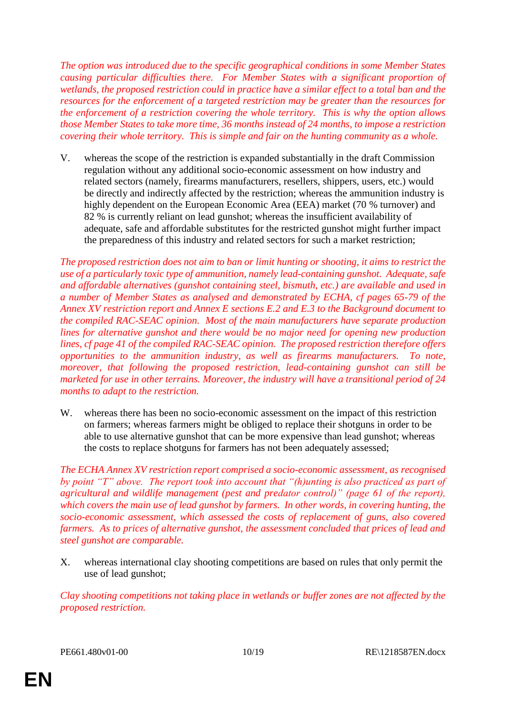*The option was introduced due to the specific geographical conditions in some Member States causing particular difficulties there. For Member States with a significant proportion of wetlands, the proposed restriction could in practice have a similar effect to a total ban and the resources for the enforcement of a targeted restriction may be greater than the resources for the enforcement of a restriction covering the whole territory. This is why the option allows those Member States to take more time, 36 months instead of 24 months, to impose a restriction covering their whole territory. This is simple and fair on the hunting community as a whole.*

V. whereas the scope of the restriction is expanded substantially in the draft Commission regulation without any additional socio-economic assessment on how industry and related sectors (namely, firearms manufacturers, resellers, shippers, users, etc.) would be directly and indirectly affected by the restriction; whereas the ammunition industry is highly dependent on the European Economic Area (EEA) market (70 % turnover) and 82 % is currently reliant on lead gunshot; whereas the insufficient availability of adequate, safe and affordable substitutes for the restricted gunshot might further impact the preparedness of this industry and related sectors for such a market restriction;

*The proposed restriction does not aim to ban or limit hunting or shooting, it aims to restrict the use of a particularly toxic type of ammunition, namely lead-containing gunshot. Adequate, safe and affordable alternatives (gunshot containing steel, bismuth, etc.) are available and used in a number of Member States as analysed and demonstrated by ECHA, cf pages 65-79 of the Annex XV restriction report and Annex E sections E.2 and E.3 to the Background document to the compiled RAC-SEAC opinion. Most of the main manufacturers have separate production lines for alternative gunshot and there would be no major need for opening new production lines, cf page 41 of the compiled RAC-SEAC opinion. The proposed restriction therefore offers opportunities to the ammunition industry, as well as firearms manufacturers. To note, moreover, that following the proposed restriction, lead-containing gunshot can still be marketed for use in other terrains. Moreover, the industry will have a transitional period of 24 months to adapt to the restriction.*

W. whereas there has been no socio-economic assessment on the impact of this restriction on farmers; whereas farmers might be obliged to replace their shotguns in order to be able to use alternative gunshot that can be more expensive than lead gunshot; whereas the costs to replace shotguns for farmers has not been adequately assessed;

*The ECHA Annex XV restriction report comprised a socio-economic assessment, as recognised by point "T" above. The report took into account that "(h)unting is also practiced as part of agricultural and wildlife management (pest and predator control)" (page 61 of the report), which covers the main use of lead gunshot by farmers. In other words, in covering hunting, the socio-economic assessment, which assessed the costs of replacement of guns, also covered farmers. As to prices of alternative gunshot, the assessment concluded that prices of lead and steel gunshot are comparable.*

X. whereas international clay shooting competitions are based on rules that only permit the use of lead gunshot;

*Clay shooting competitions not taking place in wetlands or buffer zones are not affected by the proposed restriction.*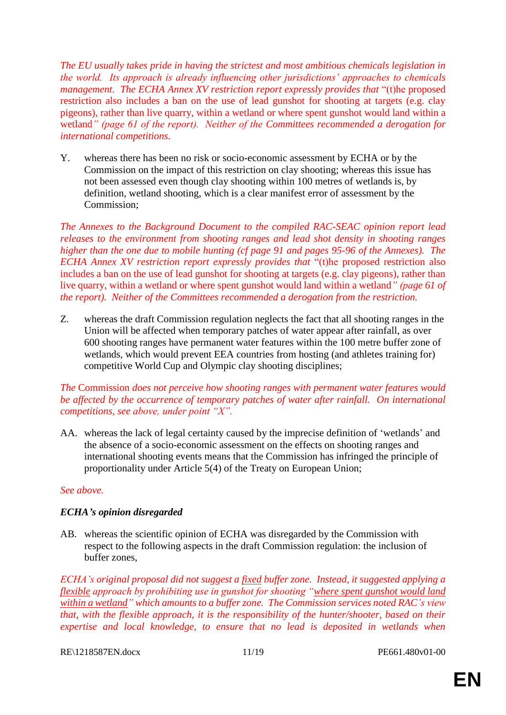*The EU usually takes pride in having the strictest and most ambitious chemicals legislation in the world. Its approach is already influencing other jurisdictions' approaches to chemicals management. The ECHA Annex XV restriction report expressly provides that* "(t)he proposed restriction also includes a ban on the use of lead gunshot for shooting at targets (e.g. clay pigeons), rather than live quarry, within a wetland or where spent gunshot would land within a wetland*" (page 61 of the report). Neither of the Committees recommended a derogation for international competitions.*

Y. whereas there has been no risk or socio-economic assessment by ECHA or by the Commission on the impact of this restriction on clay shooting; whereas this issue has not been assessed even though clay shooting within 100 metres of wetlands is, by definition, wetland shooting, which is a clear manifest error of assessment by the Commission;

*The Annexes to the Background Document to the compiled RAC-SEAC opinion report lead releases to the environment from shooting ranges and lead shot density in shooting ranges higher than the one due to mobile hunting (cf page 91 and pages 95-96 of the Annexes). The ECHA Annex XV restriction report expressly provides that* "(t)he proposed restriction also includes a ban on the use of lead gunshot for shooting at targets (e.g. clay pigeons), rather than live quarry, within a wetland or where spent gunshot would land within a wetland*" (page 61 of the report). Neither of the Committees recommended a derogation from the restriction.*

Z. whereas the draft Commission regulation neglects the fact that all shooting ranges in the Union will be affected when temporary patches of water appear after rainfall, as over 600 shooting ranges have permanent water features within the 100 metre buffer zone of wetlands, which would prevent EEA countries from hosting (and athletes training for) competitive World Cup and Olympic clay shooting disciplines;

## *The* Commission *does not perceive how shooting ranges with permanent water features would be affected by the occurrence of temporary patches of water after rainfall. On international competitions, see above, under point "X".*

AA. whereas the lack of legal certainty caused by the imprecise definition of 'wetlands' and the absence of a socio-economic assessment on the effects on shooting ranges and international shooting events means that the Commission has infringed the principle of proportionality under Article 5(4) of the Treaty on European Union;

## *See above.*

## *ECHA's opinion disregarded*

AB. whereas the scientific opinion of ECHA was disregarded by the Commission with respect to the following aspects in the draft Commission regulation: the inclusion of buffer zones,

*ECHA's original proposal did not suggest a fixed buffer zone. Instead, it suggested applying a flexible approach by prohibiting use in gunshot for shooting "where spent gunshot would land within a wetland" which amounts to a buffer zone. The Commission services noted RAC's view that, with the flexible approach, it is the responsibility of the hunter/shooter, based on their expertise and local knowledge, to ensure that no lead is deposited in wetlands when* 

RE\1218587EN.docx 11/19 PE661.480v01-00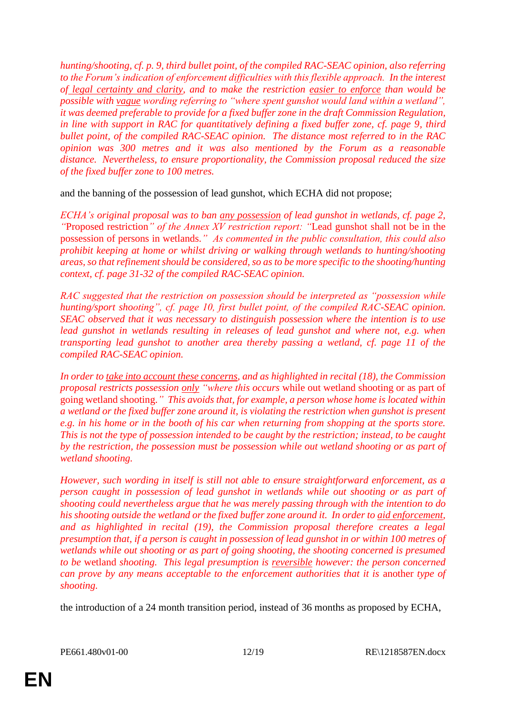*hunting/shooting, cf. p. 9, third bullet point, of the compiled RAC-SEAC opinion, also referring to the Forum's indication of enforcement difficulties with this flexible approach. In the interest of legal certainty and clarity, and to make the restriction easier to enforce than would be possible with vague wording referring to "where spent gunshot would land within a wetland", it was deemed preferable to provide for a fixed buffer zone in the draft Commission Regulation,*  in line with support in RAC for quantitatively defining a fixed buffer zone, cf. page 9, third *bullet point, of the compiled RAC-SEAC opinion. The distance most referred to in the RAC opinion was 300 metres and it was also mentioned by the Forum as a reasonable distance. Nevertheless, to ensure proportionality, the Commission proposal reduced the size of the fixed buffer zone to 100 metres.*

and the banning of the possession of lead gunshot, which ECHA did not propose;

*ECHA's original proposal was to ban any possession of lead gunshot in wetlands, cf. page 2, "*Proposed restriction*" of the Annex XV restriction report: "*Lead gunshot shall not be in the possession of persons in wetlands.*" As commented in the public consultation, this could also prohibit keeping at home or whilst driving or walking through wetlands to hunting/shooting areas, so that refinement should be considered, so as to be more specific to the shooting/hunting context, cf. page 31-32 of the compiled RAC-SEAC opinion.*

*RAC suggested that the restriction on possession should be interpreted as "possession while hunting/sport shooting", cf. page 10, first bullet point, of the compiled RAC-SEAC opinion. SEAC observed that it was necessary to distinguish possession where the intention is to use lead gunshot in wetlands resulting in releases of lead gunshot and where not, e.g. when transporting lead gunshot to another area thereby passing a wetland, cf. page 11 of the compiled RAC-SEAC opinion.*

*In order to take into account these concerns, and as highlighted in recital (18), the Commission proposal restricts possession only "where this occurs* while out wetland shooting or as part of going wetland shooting.*" This avoids that, for example, a person whose home is located within a wetland or the fixed buffer zone around it, is violating the restriction when gunshot is present e.g. in his home or in the booth of his car when returning from shopping at the sports store. This is not the type of possession intended to be caught by the restriction; instead, to be caught by the restriction, the possession must be possession while out wetland shooting or as part of wetland shooting.*

*However, such wording in itself is still not able to ensure straightforward enforcement, as a person caught in possession of lead gunshot in wetlands while out shooting or as part of shooting could nevertheless argue that he was merely passing through with the intention to do his shooting outside the wetland or the fixed buffer zone around it. In order to aid enforcement, and as highlighted in recital (19), the Commission proposal therefore creates a legal presumption that, if a person is caught in possession of lead gunshot in or within 100 metres of wetlands while out shooting or as part of going shooting, the shooting concerned is presumed to be* wetland *shooting. This legal presumption is reversible however: the person concerned can prove by any means acceptable to the enforcement authorities that it is another type of shooting.*

the introduction of a 24 month transition period, instead of 36 months as proposed by ECHA,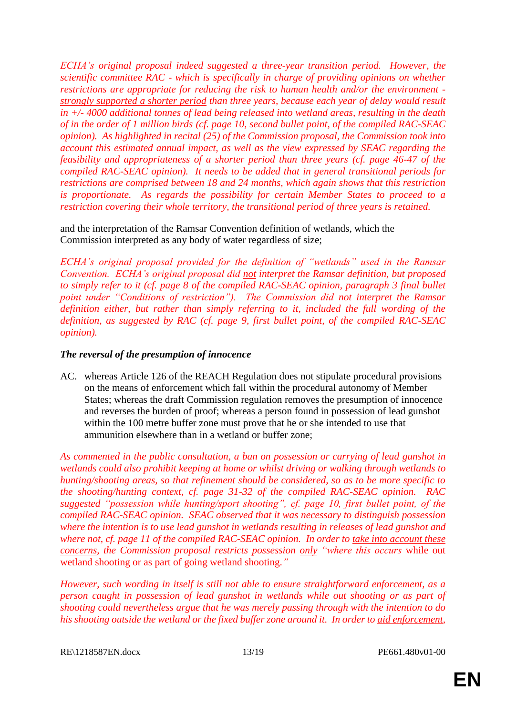*ECHA's original proposal indeed suggested a three-year transition period. However, the scientific committee RAC - which is specifically in charge of providing opinions on whether restrictions are appropriate for reducing the risk to human health and/or the environment strongly supported a shorter period than three years, because each year of delay would result in +/- 4000 additional tonnes of lead being released into wetland areas, resulting in the death of in the order of 1 million birds (cf. page 10, second bullet point, of the compiled RAC-SEAC opinion). As highlighted in recital (25) of the Commission proposal, the Commission took into account this estimated annual impact, as well as the view expressed by SEAC regarding the feasibility and appropriateness of a shorter period than three years (cf. page 46-47 of the compiled RAC-SEAC opinion). It needs to be added that in general transitional periods for restrictions are comprised between 18 and 24 months, which again shows that this restriction is proportionate. As regards the possibility for certain Member States to proceed to a restriction covering their whole territory, the transitional period of three years is retained.*

and the interpretation of the Ramsar Convention definition of wetlands, which the Commission interpreted as any body of water regardless of size;

*ECHA's original proposal provided for the definition of "wetlands" used in the Ramsar Convention. ECHA's original proposal did not interpret the Ramsar definition, but proposed to simply refer to it (cf. page 8 of the compiled RAC-SEAC opinion, paragraph 3 final bullet point under "Conditions of restriction"). The Commission did not interpret the Ramsar definition either, but rather than simply referring to it, included the full wording of the definition, as suggested by RAC (cf. page 9, first bullet point, of the compiled RAC-SEAC opinion).*

#### *The reversal of the presumption of innocence*

AC. whereas Article 126 of the REACH Regulation does not stipulate procedural provisions on the means of enforcement which fall within the procedural autonomy of Member States; whereas the draft Commission regulation removes the presumption of innocence and reverses the burden of proof; whereas a person found in possession of lead gunshot within the 100 metre buffer zone must prove that he or she intended to use that ammunition elsewhere than in a wetland or buffer zone;

*As commented in the public consultation, a ban on possession or carrying of lead gunshot in wetlands could also prohibit keeping at home or whilst driving or walking through wetlands to hunting/shooting areas, so that refinement should be considered, so as to be more specific to the shooting/hunting context, cf. page 31-32 of the compiled RAC-SEAC opinion. RAC suggested "possession while hunting/sport shooting", cf. page 10, first bullet point, of the compiled RAC-SEAC opinion. SEAC observed that it was necessary to distinguish possession where the intention is to use lead gunshot in wetlands resulting in releases of lead gunshot and where not, cf. page 11 of the compiled RAC-SEAC opinion. In order to take into account these concerns, the Commission proposal restricts possession only "where this occurs* while out wetland shooting or as part of going wetland shooting.*"*

*However, such wording in itself is still not able to ensure straightforward enforcement, as a person caught in possession of lead gunshot in wetlands while out shooting or as part of shooting could nevertheless argue that he was merely passing through with the intention to do his shooting outside the wetland or the fixed buffer zone around it. In order to aid enforcement,* 

RE\1218587EN.docx 13/19 PE661.480v01-00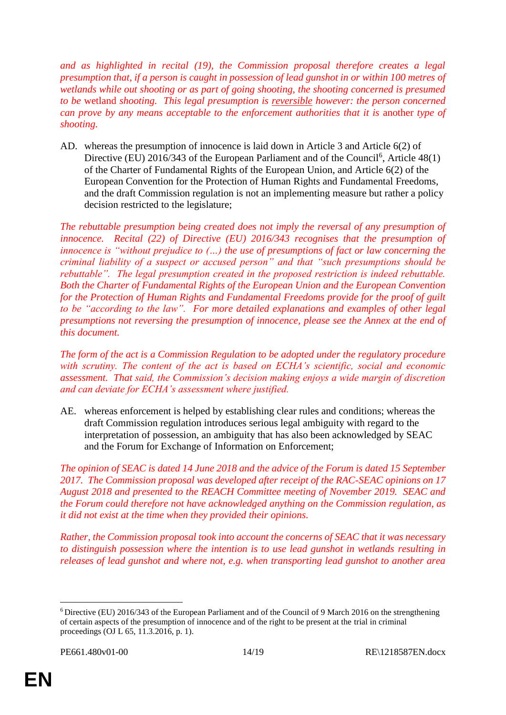*and as highlighted in recital (19), the Commission proposal therefore creates a legal presumption that, if a person is caught in possession of lead gunshot in or within 100 metres of wetlands while out shooting or as part of going shooting, the shooting concerned is presumed to be* wetland *shooting. This legal presumption is reversible however: the person concerned can prove by any means acceptable to the enforcement authorities that it is* another *type of shooting.*

AD. whereas the presumption of innocence is laid down in Article 3 and Article 6(2) of Directive (EU) 2016/343 of the European Parliament and of the Council<sup>6</sup>, Article 48(1) of the Charter of Fundamental Rights of the European Union, and Article 6(2) of the European Convention for the Protection of Human Rights and Fundamental Freedoms, and the draft Commission regulation is not an implementing measure but rather a policy decision restricted to the legislature;

*The rebuttable presumption being created does not imply the reversal of any presumption of innocence. Recital (22) of Directive (EU) 2016/343 recognises that the presumption of innocence is "without prejudice to (...) the use of presumptions of fact or law concerning the criminal liability of a suspect or accused person" and that "such presumptions should be rebuttable". The legal presumption created in the proposed restriction is indeed rebuttable. Both the Charter of Fundamental Rights of the European Union and the European Convention for the Protection of Human Rights and Fundamental Freedoms provide for the proof of guilt to be "according to the law". For more detailed explanations and examples of other legal presumptions not reversing the presumption of innocence, please see the Annex at the end of this document.*

*The form of the act is a Commission Regulation to be adopted under the regulatory procedure with scrutiny. The content of the act is based on ECHA's scientific, social and economic assessment. That said, the Commission's decision making enjoys a wide margin of discretion and can deviate for ECHA's assessment where justified.*

AE. whereas enforcement is helped by establishing clear rules and conditions; whereas the draft Commission regulation introduces serious legal ambiguity with regard to the interpretation of possession, an ambiguity that has also been acknowledged by SEAC and the Forum for Exchange of Information on Enforcement;

*The opinion of SEAC is dated 14 June 2018 and the advice of the Forum is dated 15 September 2017. The Commission proposal was developed after receipt of the RAC-SEAC opinions on 17 August 2018 and presented to the REACH Committee meeting of November 2019. SEAC and the Forum could therefore not have acknowledged anything on the Commission regulation, as it did not exist at the time when they provided their opinions.*

*Rather, the Commission proposal took into account the concerns of SEAC that it was necessary to distinguish possession where the intention is to use lead gunshot in wetlands resulting in releases of lead gunshot and where not, e.g. when transporting lead gunshot to another area* 

 $\overline{a}$ <sup>6</sup> Directive (EU) 2016/343 of the European Parliament and of the Council of 9 March 2016 on the strengthening of certain aspects of the presumption of innocence and of the right to be present at the trial in criminal proceedings (OJ L 65, 11.3.2016, p. 1).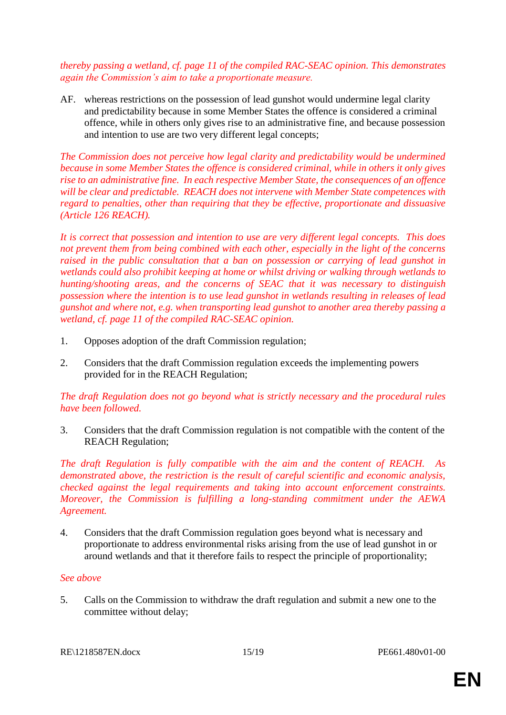*thereby passing a wetland, cf. page 11 of the compiled RAC-SEAC opinion. This demonstrates again the Commission's aim to take a proportionate measure.*

AF. whereas restrictions on the possession of lead gunshot would undermine legal clarity and predictability because in some Member States the offence is considered a criminal offence, while in others only gives rise to an administrative fine, and because possession and intention to use are two very different legal concepts;

*The Commission does not perceive how legal clarity and predictability would be undermined because in some Member States the offence is considered criminal, while in others it only gives rise to an administrative fine. In each respective Member State, the consequences of an offence will be clear and predictable. REACH does not intervene with Member State competences with regard to penalties, other than requiring that they be effective, proportionate and dissuasive (Article 126 REACH).*

*It is correct that possession and intention to use are very different legal concepts. This does not prevent them from being combined with each other, especially in the light of the concerns raised in the public consultation that a ban on possession or carrying of lead gunshot in wetlands could also prohibit keeping at home or whilst driving or walking through wetlands to hunting/shooting areas, and the concerns of SEAC that it was necessary to distinguish possession where the intention is to use lead gunshot in wetlands resulting in releases of lead gunshot and where not, e.g. when transporting lead gunshot to another area thereby passing a wetland, cf. page 11 of the compiled RAC-SEAC opinion.*

- 1. Opposes adoption of the draft Commission regulation;
- 2. Considers that the draft Commission regulation exceeds the implementing powers provided for in the REACH Regulation;

*The draft Regulation does not go beyond what is strictly necessary and the procedural rules have been followed.*

3. Considers that the draft Commission regulation is not compatible with the content of the REACH Regulation;

*The draft Regulation is fully compatible with the aim and the content of REACH. As demonstrated above, the restriction is the result of careful scientific and economic analysis, checked against the legal requirements and taking into account enforcement constraints. Moreover, the Commission is fulfilling a long-standing commitment under the AEWA Agreement.*

4. Considers that the draft Commission regulation goes beyond what is necessary and proportionate to address environmental risks arising from the use of lead gunshot in or around wetlands and that it therefore fails to respect the principle of proportionality;

#### *See above*

5. Calls on the Commission to withdraw the draft regulation and submit a new one to the committee without delay;

RE\1218587EN.docx 15/19 PE661.480v01-00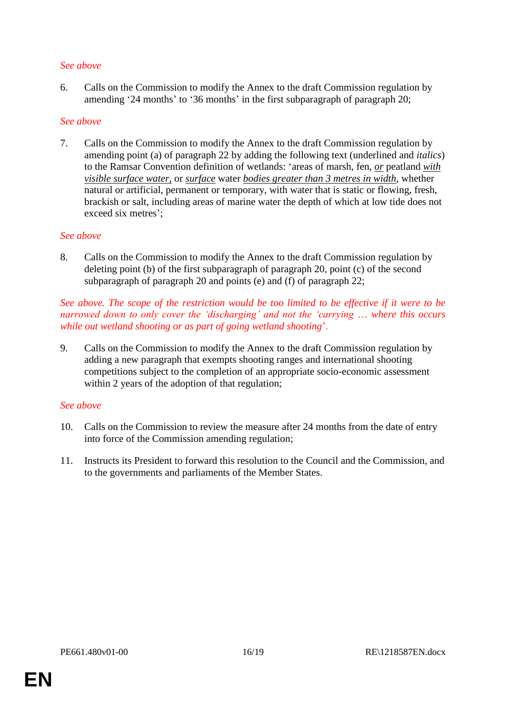## *See above*

6. Calls on the Commission to modify the Annex to the draft Commission regulation by amending '24 months' to '36 months' in the first subparagraph of paragraph 20;

#### *See above*

7. Calls on the Commission to modify the Annex to the draft Commission regulation by amending point (a) of paragraph 22 by adding the following text (underlined and *italics*) to the Ramsar Convention definition of wetlands: 'areas of marsh, fen, *or* peatland *with visible surface water,* or *surface* water *bodies greater than 3 metres in width*, whether natural or artificial, permanent or temporary, with water that is static or flowing, fresh, brackish or salt, including areas of marine water the depth of which at low tide does not exceed six metres';

#### *See above*

8. Calls on the Commission to modify the Annex to the draft Commission regulation by deleting point (b) of the first subparagraph of paragraph 20, point (c) of the second subparagraph of paragraph 20 and points (e) and (f) of paragraph 22;

#### *See above. The scope of the restriction would be too limited to be effective if it were to be narrowed down to only cover the 'discharging' and not the 'carrying ... where this occurs while out wetland shooting or as part of going wetland shooting*'.

9. Calls on the Commission to modify the Annex to the draft Commission regulation by adding a new paragraph that exempts shooting ranges and international shooting competitions subject to the completion of an appropriate socio-economic assessment within 2 years of the adoption of that regulation;

## *See above*

- 10. Calls on the Commission to review the measure after 24 months from the date of entry into force of the Commission amending regulation;
- 11. Instructs its President to forward this resolution to the Council and the Commission, and to the governments and parliaments of the Member States.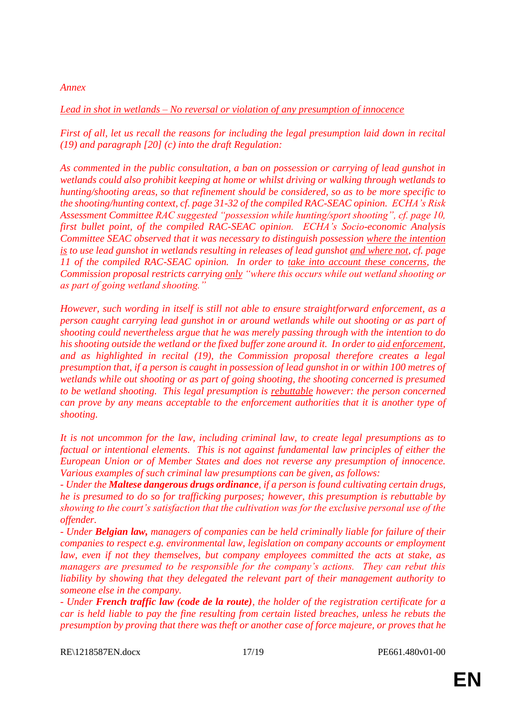#### *Annex*

#### *Lead in shot in wetlands – No reversal or violation of any presumption of innocence*

*First of all, let us recall the reasons for including the legal presumption laid down in recital (19) and paragraph [20] (c) into the draft Regulation:*

*As commented in the public consultation, a ban on possession or carrying of lead gunshot in wetlands could also prohibit keeping at home or whilst driving or walking through wetlands to hunting/shooting areas, so that refinement should be considered, so as to be more specific to the shooting/hunting context, cf. page 31-32 of the compiled RAC-SEAC opinion. ECHA's Risk Assessment Committee RAC suggested "possession while hunting/sport shooting", cf. page 10, first bullet point, of the compiled RAC-SEAC opinion. ECHA's Socio-economic Analysis Committee SEAC observed that it was necessary to distinguish possession where the intention is to use lead gunshot in wetlands resulting in releases of lead gunshot and where not, cf. page 11 of the compiled RAC-SEAC opinion. In order to take into account these concerns, the Commission proposal restricts carrying only "where this occurs while out wetland shooting or as part of going wetland shooting."*

*However, such wording in itself is still not able to ensure straightforward enforcement, as a person caught carrying lead gunshot in or around wetlands while out shooting or as part of shooting could nevertheless argue that he was merely passing through with the intention to do his shooting outside the wetland or the fixed buffer zone around it. In order to aid enforcement, and as highlighted in recital (19), the Commission proposal therefore creates a legal presumption that, if a person is caught in possession of lead gunshot in or within 100 metres of*  wetlands while out shooting or as part of going shooting, the shooting concerned is presumed *to be wetland shooting. This legal presumption is rebuttable however: the person concerned can prove by any means acceptable to the enforcement authorities that it is another type of shooting.*

*It is not uncommon for the law, including criminal law, to create legal presumptions as to factual or intentional elements. This is not against fundamental law principles of either the European Union or of Member States and does not reverse any presumption of innocence. Various examples of such criminal law presumptions can be given, as follows:* 

*- Under the Maltese dangerous drugs ordinance, if a person is found cultivating certain drugs, he is presumed to do so for trafficking purposes; however, this presumption is rebuttable by showing to the court's satisfaction that the cultivation was for the exclusive personal use of the offender.*

*- Under Belgian law, managers of companies can be held criminally liable for failure of their companies to respect e.g. environmental law, legislation on company accounts or employment law, even if not they themselves, but company employees committed the acts at stake, as managers are presumed to be responsible for the company's actions. They can rebut this liability by showing that they delegated the relevant part of their management authority to someone else in the company.*

*- Under French traffic law (code de la route), the holder of the registration certificate for a car is held liable to pay the fine resulting from certain listed breaches, unless he rebuts the presumption by proving that there was theft or another case of force majeure, or proves that he* 

RE\1218587EN.docx 17/19 PE661.480v01-00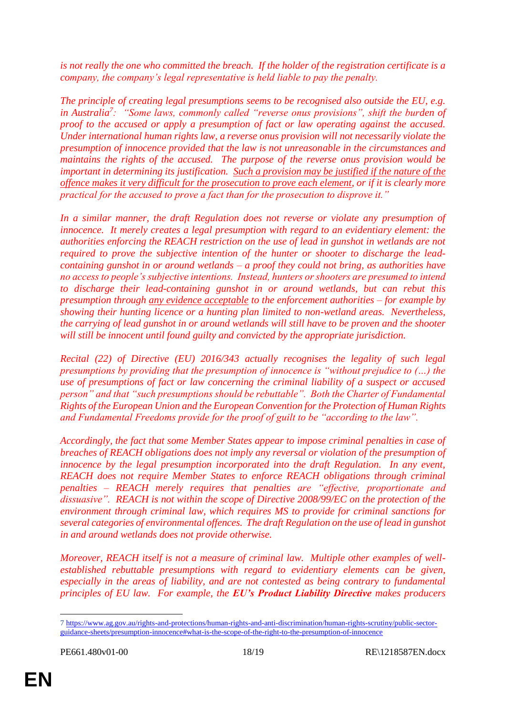*is not really the one who committed the breach. If the holder of the registration certificate is a company, the company's legal representative is held liable to pay the penalty.*

*The principle of creating legal presumptions seems to be recognised also outside the EU, e.g. in Australia<sup>7</sup> : "Some laws, commonly called "reverse onus provisions", shift the burden of proof to the accused or apply a presumption of fact or law operating against the accused. Under international human rights law, a reverse onus provision will not necessarily violate the presumption of innocence provided that the law is not unreasonable in the circumstances and maintains the rights of the accused. The purpose of the reverse onus provision would be important in determining its justification. Such a provision may be justified if the nature of the offence makes it very difficult for the prosecution to prove each element, or if it is clearly more practical for the accused to prove a fact than for the prosecution to disprove it."*

*In a similar manner, the draft Regulation does not reverse or violate any presumption of innocence. It merely creates a legal presumption with regard to an evidentiary element: the authorities enforcing the REACH restriction on the use of lead in gunshot in wetlands are not required to prove the subjective intention of the hunter or shooter to discharge the leadcontaining gunshot in or around wetlands – a proof they could not bring, as authorities have no access to people's subjective intentions. Instead, hunters or shooters are presumed to intend to discharge their lead-containing gunshot in or around wetlands, but can rebut this presumption through any evidence acceptable to the enforcement authorities – for example by showing their hunting licence or a hunting plan limited to non-wetland areas. Nevertheless, the carrying of lead gunshot in or around wetlands will still have to be proven and the shooter will still be innocent until found guilty and convicted by the appropriate jurisdiction.*

*Recital (22) of Directive (EU) 2016/343 actually recognises the legality of such legal presumptions by providing that the presumption of innocence is "without prejudice to (…) the use of presumptions of fact or law concerning the criminal liability of a suspect or accused person" and that "such presumptions should be rebuttable". Both the Charter of Fundamental Rights of the European Union and the European Convention for the Protection of Human Rights and Fundamental Freedoms provide for the proof of guilt to be "according to the law".*

*Accordingly, the fact that some Member States appear to impose criminal penalties in case of breaches of REACH obligations does not imply any reversal or violation of the presumption of innocence by the legal presumption incorporated into the draft Regulation. In any event, REACH does not require Member States to enforce REACH obligations through criminal penalties – REACH merely requires that penalties are "effective, proportionate and dissuasive". REACH is not within the scope of Directive 2008/99/EC on the protection of the environment through criminal law, which requires MS to provide for criminal sanctions for several categories of environmental offences. The draft Regulation on the use of lead in gunshot in and around wetlands does not provide otherwise.*

*Moreover, REACH itself is not a measure of criminal law. Multiple other examples of wellestablished rebuttable presumptions with regard to evidentiary elements can be given, especially in the areas of liability, and are not contested as being contrary to fundamental principles of EU law. For example, the EU's Product Liability Directive makes producers* 

 $\overline{a}$ 

<sup>7</sup> [https://www.ag.gov.au/rights-and-protections/human-rights-and-anti-discrimination/human-rights-scrutiny/public-sector](https://www.ag.gov.au/rights-and-protections/human-rights-and-anti-discrimination/human-rights-scrutiny/public-sector-guidance-sheets/presumption-innocence#what-is-the-scope-of-the-right-to-the-presumption-of-innocence)[guidance-sheets/presumption-innocence#what-is-the-scope-of-the-right-to-the-presumption-of-innocence](https://www.ag.gov.au/rights-and-protections/human-rights-and-anti-discrimination/human-rights-scrutiny/public-sector-guidance-sheets/presumption-innocence#what-is-the-scope-of-the-right-to-the-presumption-of-innocence)